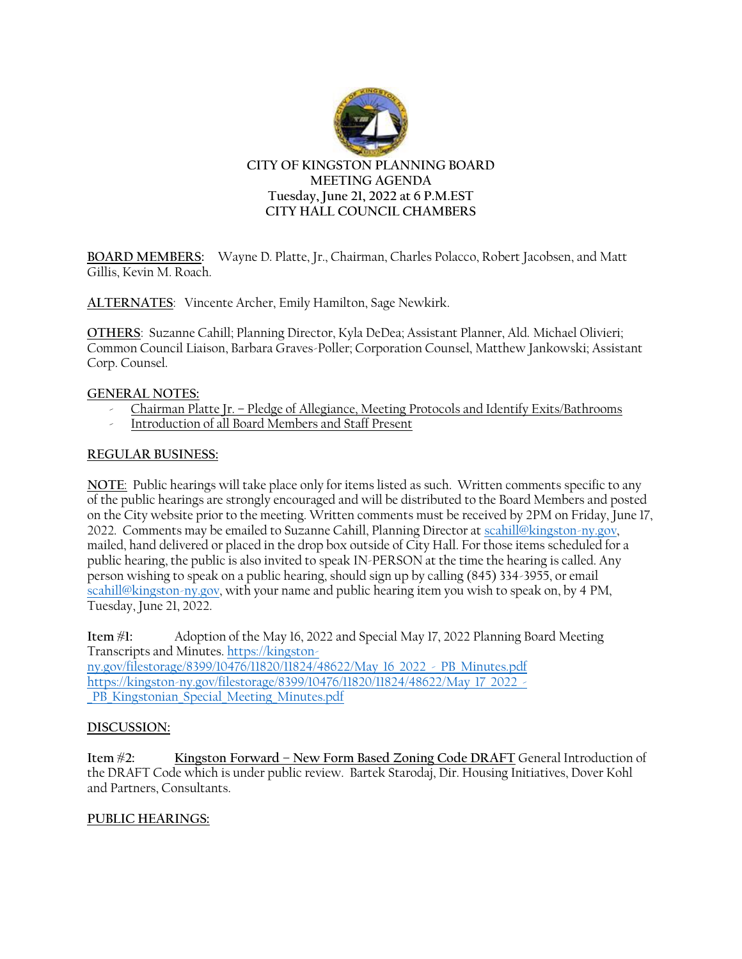

#### **MEETING AGENDA Tuesday, June 21, 2022 at 6 P.M.EST CITY HALL COUNCIL CHAMBERS**

**BOARD MEMBERS:** Wayne D. Platte, Jr., Chairman, Charles Polacco, Robert Jacobsen, and Matt Gillis, Kevin M. Roach.

**ALTERNATES**: Vincente Archer, Emily Hamilton, Sage Newkirk.

**OTHERS**: Suzanne Cahill; Planning Director, Kyla DeDea; Assistant Planner, Ald. Michael Olivieri; Common Council Liaison, Barbara Graves-Poller; Corporation Counsel, Matthew Jankowski; Assistant Corp. Counsel.

# **GENERAL NOTES:**

- Chairman Platte Jr. Pledge of Allegiance, Meeting Protocols and Identify Exits/Bathrooms
- Introduction of all Board Members and Staff Present

## **REGULAR BUSINESS:**

**NOTE**: Public hearings will take place only for items listed as such. Written comments specific to any of the public hearings are strongly encouraged and will be distributed to the Board Members and posted on the City website prior to the meeting. Written comments must be received by 2PM on Friday, June 17, 2022. Comments may be emailed to Suzanne Cahill, Planning Director a[t scahill@kingston-ny.gov,](mailto:scahill@kingston-ny.gov) mailed, hand delivered or placed in the drop box outside of City Hall. For those items scheduled for a public hearing, the public is also invited to speak IN-PERSON at the time the hearing is called. Any person wishing to speak on a public hearing, should sign up by calling (845) 334-3955, or email [scahill@kingston-ny.gov,](mailto:scahill@kingston-ny.gov) with your name and public hearing item you wish to speak on, by 4 PM, Tuesday, June 21, 2022.

**Item #1:** Adoption of the May 16, 2022 and Special May 17, 2022 Planning Board Meeting Transcripts and Minutes[. https://kingston](https://kingston-ny.gov/filestorage/8399/10476/11820/11824/48622/May_16_2022_-_PB_Minutes.pdf)ny.gov/filestorage/8399/10476/11820/11824/48622/May 16\_2022\_-\_PB\_Minutes.pdf https://kingston-ny.gov/filestorage/8399/10476/11820/11824/48622/May 17\_2022\_-[\\_PB\\_Kingstonian\\_Special\\_Meeting\\_Minutes.pdf](https://kingston-ny.gov/filestorage/8399/10476/11820/11824/48622/May_17_2022_-_PB_Kingstonian_Special_Meeting_Minutes.pdf)

### **DISCUSSION:**

**Item #2: Kingston Forward – New Form Based Zoning Code DRAFT** General Introduction of the DRAFT Code which is under public review. Bartek Starodaj, Dir. Housing Initiatives, Dover Kohl and Partners, Consultants.

# **PUBLIC HEARINGS:**